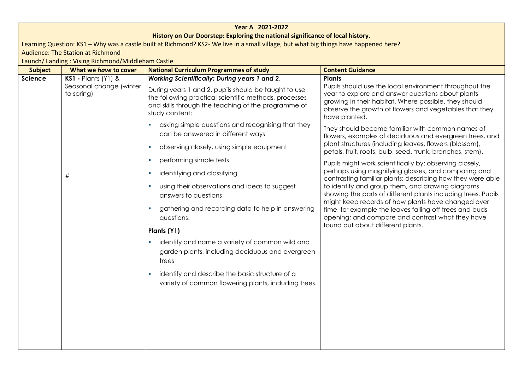| Year A 2021-2022 |                                                                                                                                       |                                                                                                                                                                                        |                                                                                                                                                                                                                                                                  |  |  |
|------------------|---------------------------------------------------------------------------------------------------------------------------------------|----------------------------------------------------------------------------------------------------------------------------------------------------------------------------------------|------------------------------------------------------------------------------------------------------------------------------------------------------------------------------------------------------------------------------------------------------------------|--|--|
|                  | History on Our Doorstep: Exploring the national significance of local history.                                                        |                                                                                                                                                                                        |                                                                                                                                                                                                                                                                  |  |  |
|                  | Learning Question: KS1 - Why was a castle built at Richmond? KS2- We live in a small village, but what big things have happened here? |                                                                                                                                                                                        |                                                                                                                                                                                                                                                                  |  |  |
|                  | <b>Audience: The Station at Richmond</b>                                                                                              |                                                                                                                                                                                        |                                                                                                                                                                                                                                                                  |  |  |
|                  | Launch/ Landing: Vising Richmond/Middleham Castle                                                                                     |                                                                                                                                                                                        |                                                                                                                                                                                                                                                                  |  |  |
| <b>Subject</b>   | What we have to cover                                                                                                                 | <b>National Curriculum Programmes of study</b>                                                                                                                                         | <b>Content Guidance</b>                                                                                                                                                                                                                                          |  |  |
| Science          | <b>KS1 - Plants (Y1) &amp;</b>                                                                                                        | Working Scientifically: During years 1 and 2,                                                                                                                                          | <b>Plants</b><br>Pupils should use the local environment throughout the<br>year to explore and answer questions about plants<br>growing in their habitat. Where possible, they should<br>observe the growth of flowers and vegetables that they<br>have planted. |  |  |
|                  | Seasonal change (winter<br>to spring)                                                                                                 | During years 1 and 2, pupils should be taught to use<br>the following practical scientific methods, processes<br>and skills through the teaching of the programme of<br>study content: |                                                                                                                                                                                                                                                                  |  |  |
|                  |                                                                                                                                       | asking simple questions and recognising that they<br>can be answered in different ways                                                                                                 | They should become familiar with common names of<br>flowers, examples of deciduous and evergreen trees, and                                                                                                                                                      |  |  |
|                  |                                                                                                                                       | observing closely, using simple equipment<br>a.                                                                                                                                        | plant structures (including leaves, flowers (blossom),<br>petals, fruit, roots, bulb, seed, trunk, branches, stem).                                                                                                                                              |  |  |
|                  |                                                                                                                                       | performing simple tests                                                                                                                                                                | Pupils might work scientifically by: observing closely,                                                                                                                                                                                                          |  |  |
|                  | identifying and classifying<br>a.<br>$\#$<br>using their observations and ideas to suggest<br>answers to questions                    | perhaps using magnifying glasses, and comparing and<br>contrasting familiar plants; describing how they were able                                                                      |                                                                                                                                                                                                                                                                  |  |  |
|                  |                                                                                                                                       | to identify and group them, and drawing diagrams<br>showing the parts of different plants including trees. Pupils<br>might keep records of how plants have changed over                |                                                                                                                                                                                                                                                                  |  |  |
|                  |                                                                                                                                       | gathering and recording data to help in answering<br>questions.                                                                                                                        | time, for example the leaves falling off trees and buds<br>opening; and compare and contrast what they have                                                                                                                                                      |  |  |
|                  |                                                                                                                                       | Plants (Y1)                                                                                                                                                                            | found out about different plants.                                                                                                                                                                                                                                |  |  |
|                  |                                                                                                                                       | identify and name a variety of common wild and<br>garden plants, including deciduous and evergreen<br>trees                                                                            |                                                                                                                                                                                                                                                                  |  |  |
|                  |                                                                                                                                       | identify and describe the basic structure of a<br>variety of common flowering plants, including trees.                                                                                 |                                                                                                                                                                                                                                                                  |  |  |
|                  |                                                                                                                                       |                                                                                                                                                                                        |                                                                                                                                                                                                                                                                  |  |  |
|                  |                                                                                                                                       |                                                                                                                                                                                        |                                                                                                                                                                                                                                                                  |  |  |
|                  |                                                                                                                                       |                                                                                                                                                                                        |                                                                                                                                                                                                                                                                  |  |  |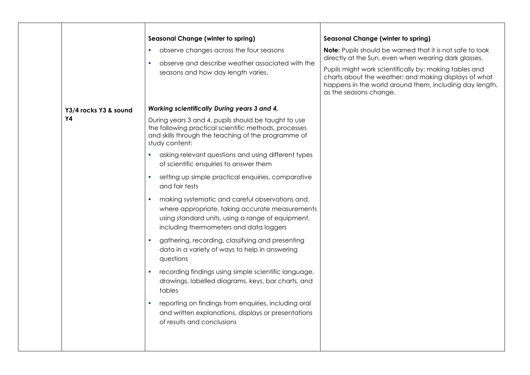|                                    | <b>Seasonal Change (winter to spring)</b><br>observe changes across the four seasons<br>×.<br>observe and describe weather associated with the<br>×.<br>seasons and how day length varies.                           | <b>Seasonal Change (winter to spring)</b><br><b>Note:</b> Pupils should be warned that it is not safe to look<br>directly at the Sun, even when wearing dark glasses.<br>Pupils might work scientifically by: making tables and<br>charts about the weather; and making displays of what<br>happens in the world around them, including day length,<br>as the seasons change. |
|------------------------------------|----------------------------------------------------------------------------------------------------------------------------------------------------------------------------------------------------------------------|-------------------------------------------------------------------------------------------------------------------------------------------------------------------------------------------------------------------------------------------------------------------------------------------------------------------------------------------------------------------------------|
| Y3/4 rocks Y3 & sound<br><b>Y4</b> | Working scientifically During years 3 and 4,<br>During years 3 and 4, pupils should be taught to use<br>the following practical scientific methods, processes<br>and skills through the teaching of the programme of |                                                                                                                                                                                                                                                                                                                                                                               |
|                                    | study content:<br>asking relevant questions and using different types<br>ш<br>of scientific enquiries to answer them                                                                                                 |                                                                                                                                                                                                                                                                                                                                                                               |
|                                    | setting up simple practical enquiries, comparative<br>$\sim$<br>and fair tests                                                                                                                                       |                                                                                                                                                                                                                                                                                                                                                                               |
|                                    | making systematic and careful observations and,<br>ш<br>where appropriate, taking accurate measurements<br>using standard units, using a range of equipment,<br>including thermometers and data loggers              |                                                                                                                                                                                                                                                                                                                                                                               |
|                                    | gathering, recording, classifying and presenting<br>data in a variety of ways to help in answering<br>questions                                                                                                      |                                                                                                                                                                                                                                                                                                                                                                               |
|                                    | recording findings using simple scientific language,<br>and the<br>drawings, labelled diagrams, keys, bar charts, and<br>tables                                                                                      |                                                                                                                                                                                                                                                                                                                                                                               |
|                                    | reporting on findings from enquiries, including oral<br>and written explanations, displays or presentations<br>of results and conclusions                                                                            |                                                                                                                                                                                                                                                                                                                                                                               |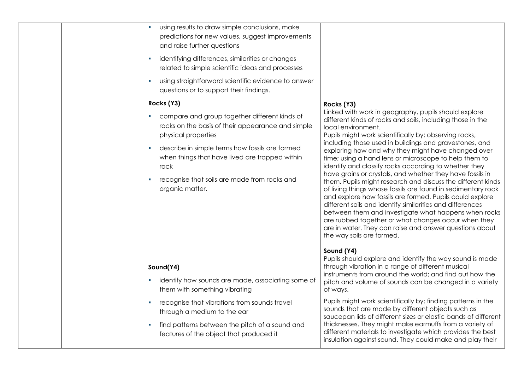| using results to draw simple conclusions, make<br>$\mathcal{L}_{\mathcal{A}}$<br>predictions for new values, suggest improvements<br>and raise further questions |                                                                                                                                                                                                                                                                                                                                                                                                                                                                                                                          |
|------------------------------------------------------------------------------------------------------------------------------------------------------------------|--------------------------------------------------------------------------------------------------------------------------------------------------------------------------------------------------------------------------------------------------------------------------------------------------------------------------------------------------------------------------------------------------------------------------------------------------------------------------------------------------------------------------|
| identifying differences, similarities or changes<br>related to simple scientific ideas and processes                                                             |                                                                                                                                                                                                                                                                                                                                                                                                                                                                                                                          |
| using straightforward scientific evidence to answer<br>questions or to support their findings.                                                                   |                                                                                                                                                                                                                                                                                                                                                                                                                                                                                                                          |
| Rocks (Y3)                                                                                                                                                       | Rocks (Y3)                                                                                                                                                                                                                                                                                                                                                                                                                                                                                                               |
| compare and group together different kinds of<br>rocks on the basis of their appearance and simple<br>physical properties                                        | Linked with work in geography, pupils should explore<br>different kinds of rocks and soils, including those in the<br>local environment.<br>Pupils might work scientifically by: observing rocks,                                                                                                                                                                                                                                                                                                                        |
| describe in simple terms how fossils are formed<br>a.<br>when things that have lived are trapped within<br>rock                                                  | including those used in buildings and gravestones, and<br>exploring how and why they might have changed over<br>time; using a hand lens or microscope to help them to<br>identify and classify rocks according to whether they                                                                                                                                                                                                                                                                                           |
| recognise that soils are made from rocks and<br>organic matter.                                                                                                  | have grains or crystals, and whether they have fossils in<br>them. Pupils might research and discuss the different kinds<br>of living things whose fossils are found in sedimentary rock<br>and explore how fossils are formed. Pupils could explore<br>different soils and identify similarities and differences<br>between them and investigate what happens when rocks<br>are rubbed together or what changes occur when they<br>are in water. They can raise and answer questions about<br>the way soils are formed. |
|                                                                                                                                                                  | Sound (Y4)<br>Pupils should explore and identify the way sound is made                                                                                                                                                                                                                                                                                                                                                                                                                                                   |
| Sound(Y4)                                                                                                                                                        | through vibration in a range of different musical                                                                                                                                                                                                                                                                                                                                                                                                                                                                        |
| identify how sounds are made, associating some of<br>$\mathcal{L}_{\mathcal{A}}$<br>them with something vibrating                                                | instruments from around the world; and find out how the<br>pitch and volume of sounds can be changed in a variety<br>of ways.                                                                                                                                                                                                                                                                                                                                                                                            |
| recognise that vibrations from sounds travel<br>$\sim$<br>through a medium to the ear                                                                            | Pupils might work scientifically by: finding patterns in the<br>sounds that are made by different objects such as<br>saucepan lids of different sizes or elastic bands of different                                                                                                                                                                                                                                                                                                                                      |
| find patterns between the pitch of a sound and<br>a.<br>features of the object that produced it                                                                  | thicknesses. They might make earmuffs from a variety of<br>different materials to investigate which provides the best<br>insulation against sound. They could make and play their                                                                                                                                                                                                                                                                                                                                        |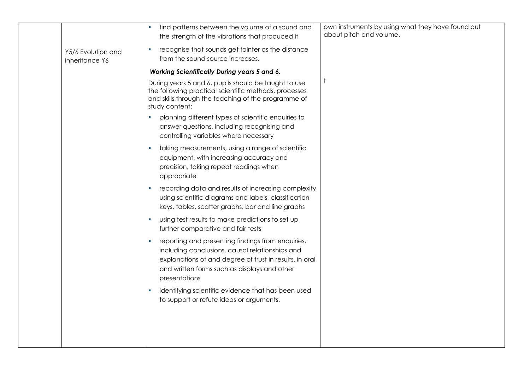|                                      | find patterns between the volume of a sound and<br>the strength of the vibrations that produced it                                                                                                                                    | own instruments by using what they have found out<br>about pitch and volume. |
|--------------------------------------|---------------------------------------------------------------------------------------------------------------------------------------------------------------------------------------------------------------------------------------|------------------------------------------------------------------------------|
| Y5/6 Evolution and<br>inheritance Y6 | recognise that sounds get fainter as the distance<br>u.<br>from the sound source increases.                                                                                                                                           |                                                                              |
|                                      | <b>Working Scientifically During years 5 and 6,</b>                                                                                                                                                                                   |                                                                              |
|                                      | During years 5 and 6, pupils should be taught to use<br>the following practical scientific methods, processes<br>and skills through the teaching of the programme of<br>study content:                                                |                                                                              |
|                                      | planning different types of scientific enquiries to<br><b>I</b><br>answer questions, including recognising and<br>controlling variables where necessary                                                                               |                                                                              |
|                                      | taking measurements, using a range of scientific<br>u,<br>equipment, with increasing accuracy and<br>precision, taking repeat readings when<br>appropriate                                                                            |                                                                              |
|                                      | recording data and results of increasing complexity<br>u.<br>using scientific diagrams and labels, classification<br>keys, tables, scatter graphs, bar and line graphs                                                                |                                                                              |
|                                      | using test results to make predictions to set up<br>u.<br>further comparative and fair tests                                                                                                                                          |                                                                              |
|                                      | reporting and presenting findings from enquiries,<br>×<br>including conclusions, causal relationships and<br>explanations of and degree of trust in results, in oral<br>and written forms such as displays and other<br>presentations |                                                                              |
|                                      | identifying scientific evidence that has been used<br>u.<br>to support or refute ideas or arguments.                                                                                                                                  |                                                                              |
|                                      |                                                                                                                                                                                                                                       |                                                                              |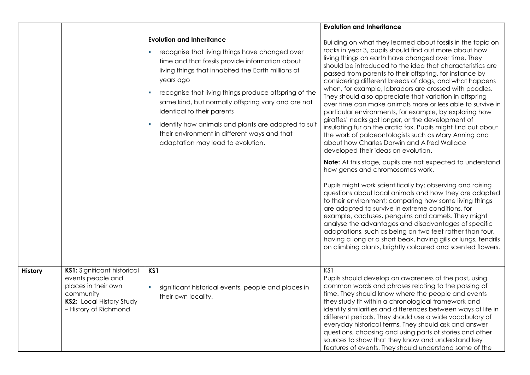|                |                                                                                                                                           |                                                                                                                                                                                                                                                                                                                                                                                                                                                                                                             | <b>Evolution and Inheritance</b>                                                                                                                                                                                                                                                                                                                                                                                                                                                                                                                                                                                                                                                                                                                                                                                                                                                                                                                                                                                                                                                                                                                                                                                                                                                                                                                                                                                                                                                                                                         |
|----------------|-------------------------------------------------------------------------------------------------------------------------------------------|-------------------------------------------------------------------------------------------------------------------------------------------------------------------------------------------------------------------------------------------------------------------------------------------------------------------------------------------------------------------------------------------------------------------------------------------------------------------------------------------------------------|------------------------------------------------------------------------------------------------------------------------------------------------------------------------------------------------------------------------------------------------------------------------------------------------------------------------------------------------------------------------------------------------------------------------------------------------------------------------------------------------------------------------------------------------------------------------------------------------------------------------------------------------------------------------------------------------------------------------------------------------------------------------------------------------------------------------------------------------------------------------------------------------------------------------------------------------------------------------------------------------------------------------------------------------------------------------------------------------------------------------------------------------------------------------------------------------------------------------------------------------------------------------------------------------------------------------------------------------------------------------------------------------------------------------------------------------------------------------------------------------------------------------------------------|
|                |                                                                                                                                           | <b>Evolution and Inheritance</b><br>recognise that living things have changed over<br>×<br>time and that fossils provide information about<br>living things that inhabited the Earth millions of<br>years ago<br>recognise that living things produce offspring of the<br>×<br>same kind, but normally offspring vary and are not<br>identical to their parents<br>identify how animals and plants are adapted to suit<br>their environment in different ways and that<br>adaptation may lead to evolution. | Building on what they learned about fossils in the topic on<br>rocks in year 3, pupils should find out more about how<br>living things on earth have changed over time. They<br>should be introduced to the idea that characteristics are<br>passed from parents to their offspring, for instance by<br>considering different breeds of dogs, and what happens<br>when, for example, labradors are crossed with poodles.<br>They should also appreciate that variation in offspring<br>over time can make animals more or less able to survive in<br>particular environments, for example, by exploring how<br>giraffes' necks got longer, or the development of<br>insulating fur on the arctic fox. Pupils might find out about<br>the work of palaeontologists such as Mary Anning and<br>about how Charles Darwin and Alfred Wallace<br>developed their ideas on evolution.<br><b>Note:</b> At this stage, pupils are not expected to understand<br>how genes and chromosomes work.<br>Pupils might work scientifically by: observing and raising<br>questions about local animals and how they are adapted<br>to their environment; comparing how some living things<br>are adapted to survive in extreme conditions, for<br>example, cactuses, penguins and camels. They might<br>analyse the advantages and disadvantages of specific<br>adaptations, such as being on two feet rather than four,<br>having a long or a short beak, having gills or lungs, tendrils<br>on climbing plants, brightly coloured and scented flowers. |
| <b>History</b> | KS1: Significant historical<br>events people and<br>places in their own<br>community<br>KS2: Local History Study<br>- History of Richmond | KS1<br>significant historical events, people and places in<br>$\mathbf{r}$<br>their own locality.                                                                                                                                                                                                                                                                                                                                                                                                           | KS1<br>Pupils should develop an awareness of the past, using<br>common words and phrases relating to the passing of<br>time. They should know where the people and events<br>they study fit within a chronological framework and<br>identify similarities and differences between ways of life in<br>different periods. They should use a wide vocabulary of<br>everyday historical terms. They should ask and answer<br>questions, choosing and using parts of stories and other<br>sources to show that they know and understand key<br>features of events. They should understand some of the                                                                                                                                                                                                                                                                                                                                                                                                                                                                                                                                                                                                                                                                                                                                                                                                                                                                                                                                         |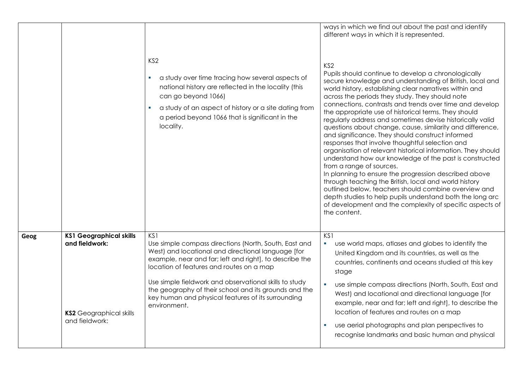|      |                                                                                                      | KS <sub>2</sub><br>a study over time tracing how several aspects of<br>national history are reflected in the locality (this<br>can go beyond 1066)<br>a study of an aspect of history or a site dating from<br>a period beyond 1066 that is significant in the<br>locality.                                                                                                                                        | ways in which we find out about the past and identify<br>different ways in which it is represented.<br>KS <sub>2</sub><br>Pupils should continue to develop a chronologically<br>secure knowledge and understanding of British, local and<br>world history, establishing clear narratives within and<br>across the periods they study. They should note<br>connections, contrasts and trends over time and develop<br>the appropriate use of historical terms. They should<br>regularly address and sometimes devise historically valid<br>questions about change, cause, similarity and difference,<br>and significance. They should construct informed<br>responses that involve thoughtful selection and<br>organisation of relevant historical information. They should<br>understand how our knowledge of the past is constructed<br>from a range of sources.<br>In planning to ensure the progression described above<br>through teaching the British, local and world history<br>outlined below, teachers should combine overview and<br>depth studies to help pupils understand both the long arc<br>of development and the complexity of specific aspects of<br>the content. |
|------|------------------------------------------------------------------------------------------------------|--------------------------------------------------------------------------------------------------------------------------------------------------------------------------------------------------------------------------------------------------------------------------------------------------------------------------------------------------------------------------------------------------------------------|---------------------------------------------------------------------------------------------------------------------------------------------------------------------------------------------------------------------------------------------------------------------------------------------------------------------------------------------------------------------------------------------------------------------------------------------------------------------------------------------------------------------------------------------------------------------------------------------------------------------------------------------------------------------------------------------------------------------------------------------------------------------------------------------------------------------------------------------------------------------------------------------------------------------------------------------------------------------------------------------------------------------------------------------------------------------------------------------------------------------------------------------------------------------------------------|
| Geog | <b>KS1 Geographical skills</b><br>and fieldwork:<br><b>KS2</b> Geographical skills<br>and fieldwork: | KS1<br>Use simple compass directions (North, South, East and<br>West) and locational and directional language [for<br>example, near and far; left and right], to describe the<br>location of features and routes on a map<br>Use simple fieldwork and observational skills to study<br>the geography of their school and its grounds and the<br>key human and physical features of its surrounding<br>environment. | KS1<br>use world maps, atlases and globes to identify the<br>×<br>United Kingdom and its countries, as well as the<br>countries, continents and oceans studied at this key<br>stage<br>$\mathbf{r}$<br>use simple compass directions (North, South, East and<br>West) and locational and directional language [for<br>example, near and far; left and right], to describe the<br>location of features and routes on a map<br>use aerial photographs and plan perspectives to<br>recognise landmarks and basic human and physical                                                                                                                                                                                                                                                                                                                                                                                                                                                                                                                                                                                                                                                      |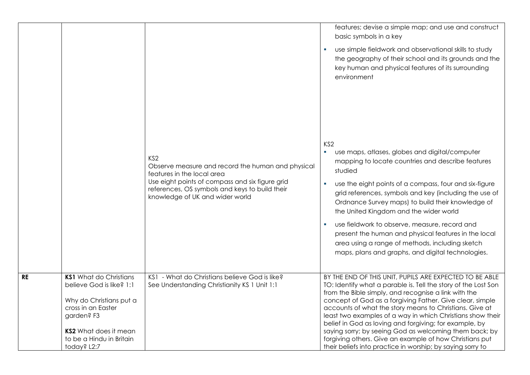|           |                                                                                                                                                                                                     | KS <sub>2</sub><br>Observe measure and record the human and physical<br>features in the local area<br>Use eight points of compass and six figure grid<br>references, OS symbols and keys to build their<br>knowledge of UK and wider world | features; devise a simple map; and use and construct<br>basic symbols in a key<br>use simple fieldwork and observational skills to study<br>the geography of their school and its grounds and the<br>key human and physical features of its surrounding<br>environment<br>KS <sub>2</sub><br>use maps, atlases, globes and digital/computer<br>$\blacksquare$<br>mapping to locate countries and describe features<br>studied<br>use the eight points of a compass, four and six-figure<br>grid references, symbols and key (including the use of<br>Ordnance Survey maps) to build their knowledge of<br>the United Kingdom and the wider world<br>use fieldwork to observe, measure, record and<br>present the human and physical features in the local<br>area using a range of methods, including sketch<br>maps, plans and graphs, and digital technologies. |
|-----------|-----------------------------------------------------------------------------------------------------------------------------------------------------------------------------------------------------|--------------------------------------------------------------------------------------------------------------------------------------------------------------------------------------------------------------------------------------------|-------------------------------------------------------------------------------------------------------------------------------------------------------------------------------------------------------------------------------------------------------------------------------------------------------------------------------------------------------------------------------------------------------------------------------------------------------------------------------------------------------------------------------------------------------------------------------------------------------------------------------------------------------------------------------------------------------------------------------------------------------------------------------------------------------------------------------------------------------------------|
| <b>RE</b> | <b>KS1</b> What do Christians<br>believe God is like? 1:1<br>Why do Christians put a<br>cross in an Easter<br>garden? F3<br><b>KS2</b> What does it mean<br>to be a Hindu in Britain<br>today? L2:7 | KS1 - What do Christians believe God is like?<br>See Understanding Christianity KS 1 Unit 1:1                                                                                                                                              | BY THE END OF THIS UNIT, PUPILS ARE EXPECTED TO BE ABLE<br>TO: Identify what a parable is. Tell the story of the Lost Son<br>from the Bible simply, and recognise a link with the<br>concept of God as a forgiving Father. Give clear, simple<br>accounts of what the story means to Christians. Give at<br>least two examples of a way in which Christians show their<br>belief in God as loving and forgiving; for example, by<br>saying sorry; by seeing God as welcoming them back; by<br>forgiving others. Give an example of how Christians put<br>their beliefs into practice in worship; by saying sorry to                                                                                                                                                                                                                                               |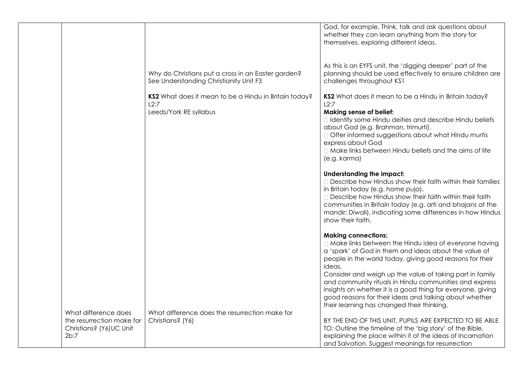|                                  |                                                                                              | God, for example. Think, talk and ask questions about<br>whether they can learn anything from the story for<br>themselves, exploring different ideas.                                                                                                                                                                                     |
|----------------------------------|----------------------------------------------------------------------------------------------|-------------------------------------------------------------------------------------------------------------------------------------------------------------------------------------------------------------------------------------------------------------------------------------------------------------------------------------------|
|                                  | Why do Christians put a cross in an Easter garden?<br>See Understanding Christianity Unit F3 | As this is an EYFS unit, the 'digging deeper' part of the<br>planning should be used effectively to ensure children are<br>challenges throughout KS1                                                                                                                                                                                      |
|                                  | KS2 What does it mean to be a Hindu in Britain today?<br>L2:7                                | KS2 What does it mean to be a Hindu in Britain today?<br>L2:7                                                                                                                                                                                                                                                                             |
|                                  | Leeds/York RE syllabus                                                                       | <b>Making sense of belief:</b><br>I Identify some Hindu deities and describe Hindu beliefs<br>about God (e.g. Brahman, trimurti).<br>□ Offer informed suggestions about what Hindu murtis<br>express about God<br>□ Make links between Hindu beliefs and the aims of life<br>(e.g. karma)                                                 |
|                                  |                                                                                              | Understanding the impact:<br>Describe how Hindus show their faith within their families<br>in Britain today (e.g. home puja).<br>Describe how Hindus show their faith within their faith<br>communities in Britain today (e.g. arti and bhajans at the<br>mandir; Diwali), indicating some differences in how Hindus<br>show their faith. |
|                                  |                                                                                              | <b>Making connections:</b><br>□ Make links between the Hindu idea of everyone having<br>a 'spark' of God in them and ideas about the value of<br>people in the world today, giving good reasons for their<br>ideas.<br>Consider and weigh up the value of taking part in family                                                           |
|                                  |                                                                                              | and community rituals in Hindu communities and express<br>insights on whether it is a good thing for everyone, giving<br>good reasons for their ideas and talking about whether<br>their learning has changed their thinking.                                                                                                             |
| What difference does             | What difference does the resurrection make for                                               |                                                                                                                                                                                                                                                                                                                                           |
| the resurrection make for        | Christians? (Y6)                                                                             | BY THE END OF THIS UNIT, PUPILS ARE EXPECTED TO BE ABLE                                                                                                                                                                                                                                                                                   |
| Christians? (Y6) UC Unit<br>2b:7 |                                                                                              | TO: Outline the timeline of the 'big story' of the Bible,<br>explaining the place within it of the ideas of Incarnation                                                                                                                                                                                                                   |
|                                  |                                                                                              | and Salvation. Suggest meanings for resurrection                                                                                                                                                                                                                                                                                          |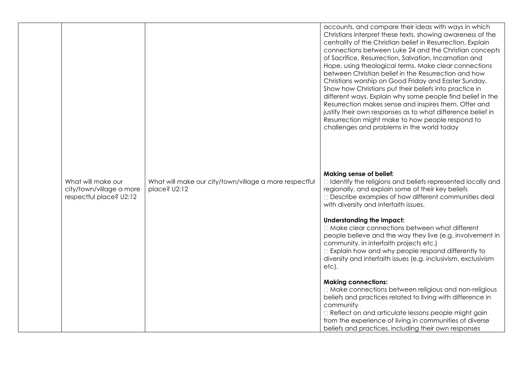|                                                                           |                                                                        | accounts, and compare their ideas with ways in which<br>Christians interpret these texts, showing awareness of the<br>centrality of the Christian belief in Resurrection. Explain<br>connections between Luke 24 and the Christian concepts<br>of Sacrifice, Resurrection, Salvation, Incarnation and<br>Hope, using theological terms. Make clear connections<br>between Christian belief in the Resurrection and how<br>Christians worship on Good Friday and Easter Sunday.<br>Show how Christians put their beliefs into practice in<br>different ways. Explain why some people find belief in the<br>Resurrection makes sense and inspires them. Offer and<br>justify their own responses as to what difference belief in<br>Resurrection might make to how people respond to<br>challenges and problems in the world today |
|---------------------------------------------------------------------------|------------------------------------------------------------------------|----------------------------------------------------------------------------------------------------------------------------------------------------------------------------------------------------------------------------------------------------------------------------------------------------------------------------------------------------------------------------------------------------------------------------------------------------------------------------------------------------------------------------------------------------------------------------------------------------------------------------------------------------------------------------------------------------------------------------------------------------------------------------------------------------------------------------------|
| What will make our<br>city/town/village a more<br>respectful place? U2:12 | What will make our city/town/village a more respectful<br>place? U2:12 | <b>Making sense of belief:</b><br>I Identify the religions and beliefs represented locally and<br>regionally, and explain some of their key beliefs<br>Describe examples of how different communities deal<br>with diversity and interfaith issues.                                                                                                                                                                                                                                                                                                                                                                                                                                                                                                                                                                              |
|                                                                           |                                                                        | Understanding the impact:<br>□ Make clear connections between what different<br>people believe and the way they live (e.g. involvement in<br>community, in interfaith projects etc.)<br>Explain how and why people respond differently to<br>diversity and interfaith issues (e.g. inclusivism, exclusivism<br>etc).                                                                                                                                                                                                                                                                                                                                                                                                                                                                                                             |
|                                                                           |                                                                        | <b>Making connections:</b><br>□ Make connections between religious and non-religious<br>beliefs and practices related to living with difference in<br>community<br>Reflect on and articulate lessons people might gain<br>from the experience of living in communities of diverse<br>beliefs and practices, including their own responses                                                                                                                                                                                                                                                                                                                                                                                                                                                                                        |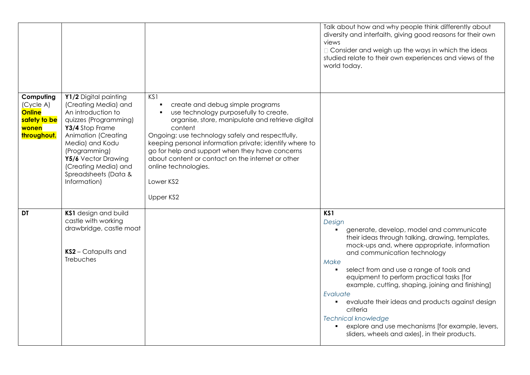|                                                                                 |                                                                                                                                                                                                                                                                   |                                                                                                                                                                                                                                                                                                                                                                                                                           | Talk about how and why people think differently about<br>diversity and interfaith, giving good reasons for their own<br>views<br>□ Consider and weigh up the ways in which the ideas<br>studied relate to their own experiences and views of the<br>world today.                                                                                                                                                                                                                                                                                                                      |
|---------------------------------------------------------------------------------|-------------------------------------------------------------------------------------------------------------------------------------------------------------------------------------------------------------------------------------------------------------------|---------------------------------------------------------------------------------------------------------------------------------------------------------------------------------------------------------------------------------------------------------------------------------------------------------------------------------------------------------------------------------------------------------------------------|---------------------------------------------------------------------------------------------------------------------------------------------------------------------------------------------------------------------------------------------------------------------------------------------------------------------------------------------------------------------------------------------------------------------------------------------------------------------------------------------------------------------------------------------------------------------------------------|
| Computing<br>(Cycle A)<br><b>Online</b><br>safety to be<br>wonen<br>throughout. | Y1/2 Digital painting<br>(Creating Media) and<br>An introduction to<br>quizzes (Programming)<br>Y3/4 Stop Frame<br>Animation (Creating<br>Media) and Kodu<br>(Programming)<br>Y5/6 Vector Drawing<br>(Creating Media) and<br>Spreadsheets (Data &<br>Information) | KS1<br>create and debug simple programs<br>use technology purposefully to create,<br>organise, store, manipulate and retrieve digital<br>content<br>Ongoing: use technology safely and respectfully,<br>keeping personal information private; identify where to<br>go for help and support when they have concerns<br>about content or contact on the internet or other<br>online technologies.<br>Lower KS2<br>Upper KS2 |                                                                                                                                                                                                                                                                                                                                                                                                                                                                                                                                                                                       |
| DT                                                                              | KS1 design and build<br>castle with working<br>drawbridge, castle moat<br>KS2 - Catapults and<br><b>Trebuches</b>                                                                                                                                                 |                                                                                                                                                                                                                                                                                                                                                                                                                           | KS1<br>Design<br>generate, develop, model and communicate<br>their ideas through talking, drawing, templates,<br>mock-ups and, where appropriate, information<br>and communication technology<br>Make<br>select from and use a range of tools and<br>equipment to perform practical tasks [for<br>example, cutting, shaping, joining and finishing]<br>Evaluate<br>evaluate their ideas and products against design<br>$\blacksquare$<br>criteria<br><b>Technical knowledge</b><br>explore and use mechanisms [for example, levers,<br>sliders, wheels and axles], in their products. |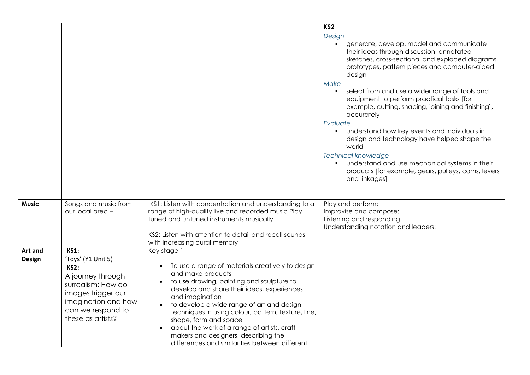|                          |                                                                                                                                                                                    |                                                                                                                                                                                                                                                                                                                                                                                                                                                                                         | KS <sub>2</sub><br>Design<br>generate, develop, model and communicate<br>their ideas through discussion, annotated<br>sketches, cross-sectional and exploded diagrams,<br>prototypes, pattern pieces and computer-aided<br>design<br>Make<br>select from and use a wider range of tools and<br>equipment to perform practical tasks [for<br>example, cutting, shaping, joining and finishing],<br>accurately<br>Evaluate<br>understand how key events and individuals in<br>design and technology have helped shape the<br>world<br><b>Technical knowledge</b><br>understand and use mechanical systems in their<br>products [for example, gears, pulleys, cams, levers<br>and linkages] |
|--------------------------|------------------------------------------------------------------------------------------------------------------------------------------------------------------------------------|-----------------------------------------------------------------------------------------------------------------------------------------------------------------------------------------------------------------------------------------------------------------------------------------------------------------------------------------------------------------------------------------------------------------------------------------------------------------------------------------|------------------------------------------------------------------------------------------------------------------------------------------------------------------------------------------------------------------------------------------------------------------------------------------------------------------------------------------------------------------------------------------------------------------------------------------------------------------------------------------------------------------------------------------------------------------------------------------------------------------------------------------------------------------------------------------|
| <b>Music</b>             | Songs and music from<br>our local area -                                                                                                                                           | KS1: Listen with concentration and understanding to a<br>range of high-quality live and recorded music Play<br>tuned and untuned instruments musically<br>KS2: Listen with attention to detail and recall sounds<br>with increasing aural memory                                                                                                                                                                                                                                        | Play and perform:<br>Improvise and compose:<br>Listening and responding<br>Understanding notation and leaders:                                                                                                                                                                                                                                                                                                                                                                                                                                                                                                                                                                           |
| Art and<br><b>Design</b> | <b>KS1:</b><br>'Toys' (Y1 Unit 5)<br><b>KS2:</b><br>A journey through<br>surrealism: How do<br>images trigger our<br>imagination and how<br>can we respond to<br>these as artists? | Key stage 1<br>To use a range of materials creatively to design<br>and make products D<br>to use drawing, painting and sculpture to<br>develop and share their ideas, experiences<br>and imagination<br>to develop a wide range of art and design<br>$\bullet$<br>techniques in using colour, pattern, texture, line,<br>shape, form and space<br>about the work of a range of artists, craft<br>makers and designers, describing the<br>differences and similarities between different |                                                                                                                                                                                                                                                                                                                                                                                                                                                                                                                                                                                                                                                                                          |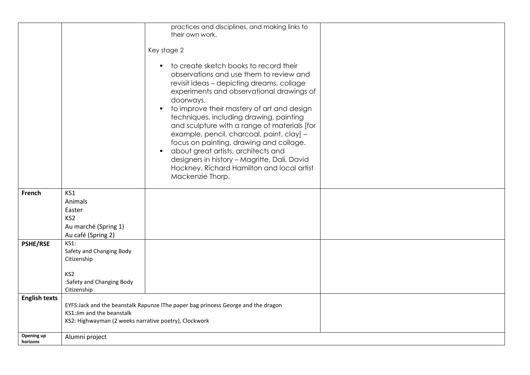|                        |                                                                                           | practices and disciplines, and making links to                                                                                                                                                                                                                                                                                                                                                                                                                                                                                                                                                     |  |
|------------------------|-------------------------------------------------------------------------------------------|----------------------------------------------------------------------------------------------------------------------------------------------------------------------------------------------------------------------------------------------------------------------------------------------------------------------------------------------------------------------------------------------------------------------------------------------------------------------------------------------------------------------------------------------------------------------------------------------------|--|
|                        |                                                                                           | their own work.                                                                                                                                                                                                                                                                                                                                                                                                                                                                                                                                                                                    |  |
|                        |                                                                                           |                                                                                                                                                                                                                                                                                                                                                                                                                                                                                                                                                                                                    |  |
|                        |                                                                                           | Key stage 2                                                                                                                                                                                                                                                                                                                                                                                                                                                                                                                                                                                        |  |
|                        |                                                                                           | to create sketch books to record their<br>$\blacksquare$<br>observations and use them to review and<br>revisit ideas - depicting dreams, collage<br>experiments and observational drawings of<br>doorways.<br>to improve their mastery of art and design<br>techniques, including drawing, painting<br>and sculpture with a range of materials [for<br>example, pencil, charcoal, paint, clay] -<br>focus on painting, drawing and collage.<br>about great artists, architects and<br>$\blacksquare$<br>designers in history - Magritte, Dali, David<br>Hockney, Richard Hamilton and local artist |  |
|                        |                                                                                           | Mackenzie Thorp.                                                                                                                                                                                                                                                                                                                                                                                                                                                                                                                                                                                   |  |
| French                 | KS1<br>Animals<br>Easter<br>KS <sub>2</sub><br>Au marché (Spring 1)<br>Au café (Spring 2) |                                                                                                                                                                                                                                                                                                                                                                                                                                                                                                                                                                                                    |  |
| <b>PSHE/RSE</b>        | <b>KS1:</b><br>Safety and Changing Body<br>Citizenship                                    |                                                                                                                                                                                                                                                                                                                                                                                                                                                                                                                                                                                                    |  |
|                        | KS <sub>2</sub><br>:Safety and Changing Body<br>Citizenship                               |                                                                                                                                                                                                                                                                                                                                                                                                                                                                                                                                                                                                    |  |
| <b>English texts</b>   | KS1: Jim and the beanstalk<br>KS2: Highwayman (2 weeks narrative poetry), Clockwork       | EYFS:Jack and the beanstalk Rapunze IThe paper bag princess George and the dragon                                                                                                                                                                                                                                                                                                                                                                                                                                                                                                                  |  |
| Opening up<br>horizons | Alumni project                                                                            |                                                                                                                                                                                                                                                                                                                                                                                                                                                                                                                                                                                                    |  |